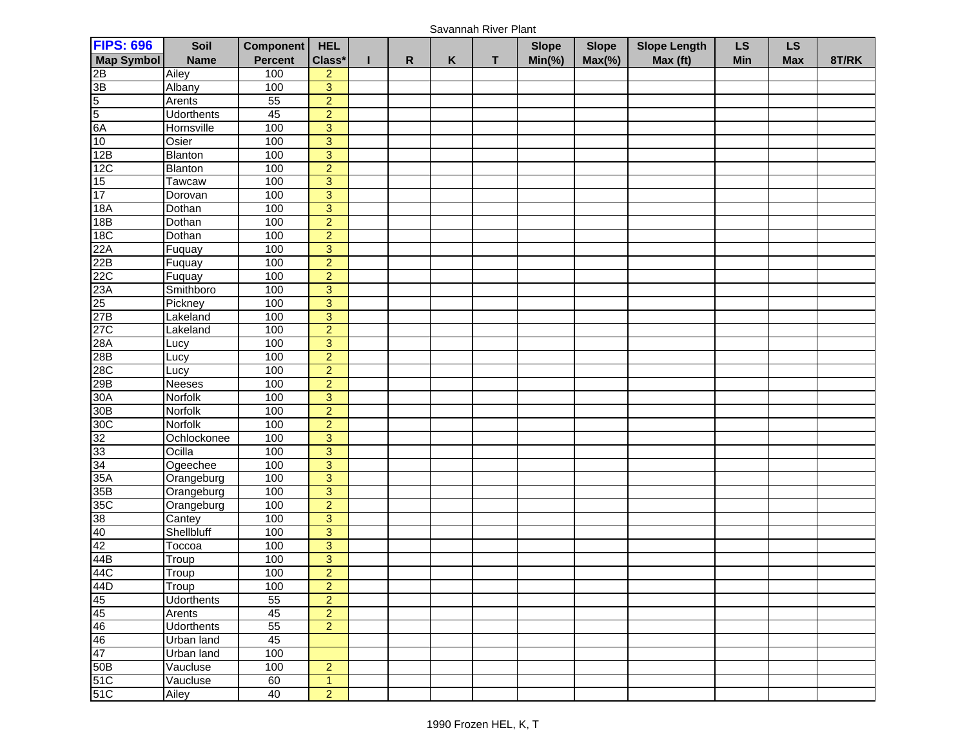Savannah River Plant

| <b>FIPS: 696</b>                                                                                                                                                                                                                                                                                                      | Soil              | <b>Component</b> | <b>HEL</b>     |   |   |   | <b>Slope</b> | <b>Slope</b> | <b>Slope Length</b> | LS         | <b>LS</b>  |       |
|-----------------------------------------------------------------------------------------------------------------------------------------------------------------------------------------------------------------------------------------------------------------------------------------------------------------------|-------------------|------------------|----------------|---|---|---|--------------|--------------|---------------------|------------|------------|-------|
| <b>Map Symbol</b>                                                                                                                                                                                                                                                                                                     | <b>Name</b>       | <b>Percent</b>   | Class*         | R | Κ | т | $Min(\% )$   | $Max(\% )$   | Max (ft)            | <b>Min</b> | <b>Max</b> | 8T/RK |
|                                                                                                                                                                                                                                                                                                                       | Ailey             | 100              | $\overline{c}$ |   |   |   |              |              |                     |            |            |       |
| 2B<br>3B<br>5<br>5<br>6A<br>10<br>12B                                                                                                                                                                                                                                                                                 | Albany            | 100              | $\overline{3}$ |   |   |   |              |              |                     |            |            |       |
|                                                                                                                                                                                                                                                                                                                       | Arents            | 55               | $\overline{2}$ |   |   |   |              |              |                     |            |            |       |
|                                                                                                                                                                                                                                                                                                                       | <b>Udorthents</b> | 45               | $\overline{2}$ |   |   |   |              |              |                     |            |            |       |
|                                                                                                                                                                                                                                                                                                                       | Hornsville        | 100              | 3              |   |   |   |              |              |                     |            |            |       |
|                                                                                                                                                                                                                                                                                                                       | Osier             | 100              | $\overline{3}$ |   |   |   |              |              |                     |            |            |       |
|                                                                                                                                                                                                                                                                                                                       | Blanton           | 100              | 3              |   |   |   |              |              |                     |            |            |       |
|                                                                                                                                                                                                                                                                                                                       | <b>Blanton</b>    | 100              | $\overline{2}$ |   |   |   |              |              |                     |            |            |       |
|                                                                                                                                                                                                                                                                                                                       | Tawcaw            | 100              | $\overline{3}$ |   |   |   |              |              |                     |            |            |       |
| $\frac{12}{12}$<br>$\frac{15}{17}$                                                                                                                                                                                                                                                                                    | Dorovan           | 100              | 3              |   |   |   |              |              |                     |            |            |       |
| <b>18A</b>                                                                                                                                                                                                                                                                                                            | Dothan            | 100              | $\overline{3}$ |   |   |   |              |              |                     |            |            |       |
| 18B                                                                                                                                                                                                                                                                                                                   | Dothan            | 100              | $\overline{2}$ |   |   |   |              |              |                     |            |            |       |
| <b>18C</b>                                                                                                                                                                                                                                                                                                            | Dothan            | 100              | $\overline{2}$ |   |   |   |              |              |                     |            |            |       |
| $\frac{22A}{22B}$                                                                                                                                                                                                                                                                                                     | Fuquay            | 100              | 3              |   |   |   |              |              |                     |            |            |       |
|                                                                                                                                                                                                                                                                                                                       | Fuquay            | 100              | $\overline{2}$ |   |   |   |              |              |                     |            |            |       |
|                                                                                                                                                                                                                                                                                                                       | Fuquay            | 100              | $\overline{2}$ |   |   |   |              |              |                     |            |            |       |
|                                                                                                                                                                                                                                                                                                                       | Smithboro         | 100              | $\overline{3}$ |   |   |   |              |              |                     |            |            |       |
|                                                                                                                                                                                                                                                                                                                       | Pickney           | 100              | 3              |   |   |   |              |              |                     |            |            |       |
|                                                                                                                                                                                                                                                                                                                       | Lakeland          | 100              | $\mathbf{3}$   |   |   |   |              |              |                     |            |            |       |
| 22C<br>23A<br>25<br>27B<br>27C<br>28A<br>28B                                                                                                                                                                                                                                                                          | Lakeland          | 100              | $\overline{2}$ |   |   |   |              |              |                     |            |            |       |
|                                                                                                                                                                                                                                                                                                                       | Lucy              | 100              | 3              |   |   |   |              |              |                     |            |            |       |
|                                                                                                                                                                                                                                                                                                                       | Lucy              | 100              | $\overline{2}$ |   |   |   |              |              |                     |            |            |       |
| 28C<br>29B                                                                                                                                                                                                                                                                                                            | Lucy              | 100              | $\overline{2}$ |   |   |   |              |              |                     |            |            |       |
|                                                                                                                                                                                                                                                                                                                       | <b>Neeses</b>     | 100              | $\overline{2}$ |   |   |   |              |              |                     |            |            |       |
| 30A                                                                                                                                                                                                                                                                                                                   | Norfolk           | 100              | $\overline{3}$ |   |   |   |              |              |                     |            |            |       |
|                                                                                                                                                                                                                                                                                                                       | <b>Norfolk</b>    | 100              | $\overline{2}$ |   |   |   |              |              |                     |            |            |       |
|                                                                                                                                                                                                                                                                                                                       | Norfolk           | 100              | $\overline{2}$ |   |   |   |              |              |                     |            |            |       |
|                                                                                                                                                                                                                                                                                                                       | Ochlockonee       | 100              | 3              |   |   |   |              |              |                     |            |            |       |
|                                                                                                                                                                                                                                                                                                                       | Ocilla            | 100              | $\overline{3}$ |   |   |   |              |              |                     |            |            |       |
|                                                                                                                                                                                                                                                                                                                       | Ogeechee          | 100              | 3              |   |   |   |              |              |                     |            |            |       |
|                                                                                                                                                                                                                                                                                                                       | Orangeburg        | 100              | $\overline{3}$ |   |   |   |              |              |                     |            |            |       |
|                                                                                                                                                                                                                                                                                                                       | Orangeburg        | 100              | 3              |   |   |   |              |              |                     |            |            |       |
|                                                                                                                                                                                                                                                                                                                       | Orangeburg        | 100              | $\overline{2}$ |   |   |   |              |              |                     |            |            |       |
|                                                                                                                                                                                                                                                                                                                       | Cantey            | 100              | $\overline{3}$ |   |   |   |              |              |                     |            |            |       |
|                                                                                                                                                                                                                                                                                                                       | Shellbluff        | 100              | 3              |   |   |   |              |              |                     |            |            |       |
|                                                                                                                                                                                                                                                                                                                       | Toccoa            | 100              | $\overline{3}$ |   |   |   |              |              |                     |            |            |       |
|                                                                                                                                                                                                                                                                                                                       | Troup             | 100              | $\overline{3}$ |   |   |   |              |              |                     |            |            |       |
|                                                                                                                                                                                                                                                                                                                       | Troup             | 100              | $\overline{2}$ |   |   |   |              |              |                     |            |            |       |
|                                                                                                                                                                                                                                                                                                                       | I roup            | 100              | $\overline{2}$ |   |   |   |              |              |                     |            |            |       |
| 30B<br>303 33 34 A A B<br>35 35 36 40<br>44 44 44 44 44 44 44 44 45 5 5 1 C<br>5 1 C<br>5 1 C<br>5 1 C<br>5 1 C<br>5 1 C<br>5 1 C<br>5 1 C<br>5 1 C<br>5 1 C<br>5 1 C<br>5 1 C<br>5 1 C<br>5 1 C<br>5 1 C<br>5 1 C<br>5 1 C<br>5 1 C<br>5 1 C<br>5 1 C<br>5 1 C<br>5 1 C<br>5 1 C<br>5 1 C<br>5 1 C<br>5 1 C<br>5 1 C | <b>Udorthents</b> | 55               | $\overline{2}$ |   |   |   |              |              |                     |            |            |       |
|                                                                                                                                                                                                                                                                                                                       | Arents            | 45               | $\overline{a}$ |   |   |   |              |              |                     |            |            |       |
|                                                                                                                                                                                                                                                                                                                       | <b>Udorthents</b> | 55               | $\overline{2}$ |   |   |   |              |              |                     |            |            |       |
|                                                                                                                                                                                                                                                                                                                       | <b>Urban land</b> | 45               |                |   |   |   |              |              |                     |            |            |       |
|                                                                                                                                                                                                                                                                                                                       | Urban land        | 100              |                |   |   |   |              |              |                     |            |            |       |
|                                                                                                                                                                                                                                                                                                                       | Vaucluse          | 100              | $\overline{2}$ |   |   |   |              |              |                     |            |            |       |
|                                                                                                                                                                                                                                                                                                                       | Vaucluse          | 60               | 1              |   |   |   |              |              |                     |            |            |       |
|                                                                                                                                                                                                                                                                                                                       | Ailey             | 40               | $\overline{2}$ |   |   |   |              |              |                     |            |            |       |